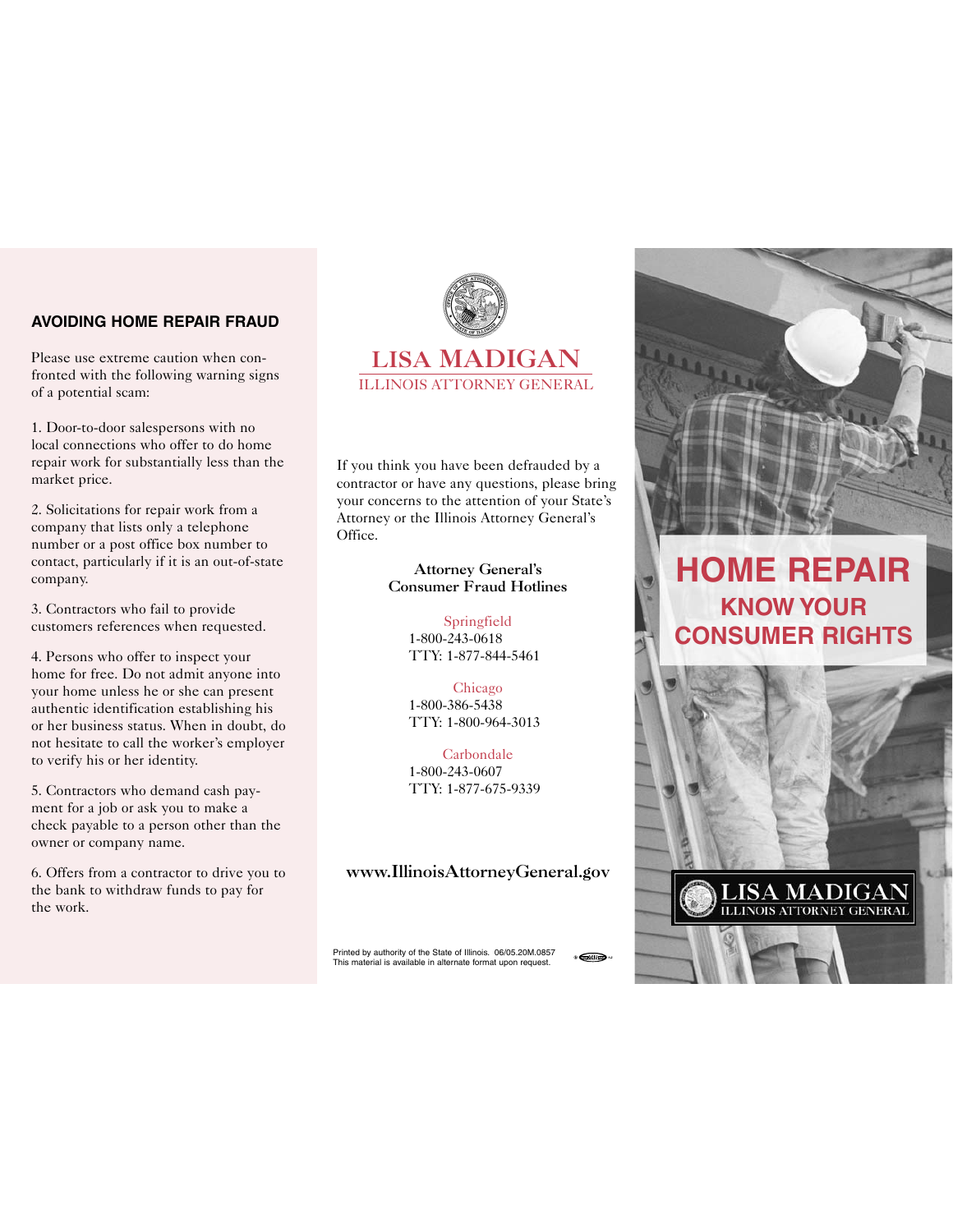## **AVOIDING HOME REPAIR FRAUD**

Please use extreme caution when confronted with the following warning signs of a potential scam:

1. Door-to-door salespersons with no local connections who offer to do home repair work for substantially less than the market price.

2. Solicitations for repair work from a company that lists only a telephone number or a post office box number to contact, particularly if it is an out-of-state company.

3. Contractors who fail to provide customers references when requested.

4. Persons who offer to inspect your home for free. Do not admit anyone into your home unless he or she can present authentic identification establishing his or her business status. When in doubt, do not hesitate to call the worker's employer to verify his or her identity.

5. Contractors who demand cash payment for a job or ask you to make a check payable to a person other than the owner or company name.

6. Offers from a contractor to drive you to the bank to withdraw funds to pay for the work.



If you think you have been defrauded by a contractor or have any questions, please bring your concerns to the attention of your State's Attorney or the Illinois Attorney General's Office.

#### **Attorney General's Consumer Fraud Hotlines**

Springfield 1-800-243-0618 TTY: 1-877-844-5461

Chicago 1-800-386-5438 TTY: 1-800-964-3013

Carbondale 1-800-243-0607 TTY: 1-877-675-9339

## **www.IllinoisAttorneyGeneral.gov**

Printed by authority of the State of Illinois. 06/05.20M.0857 This material is available in alternate format upon request.





# **HOME REPAIR KNOW YOUR CONSUMER RIGHTS**